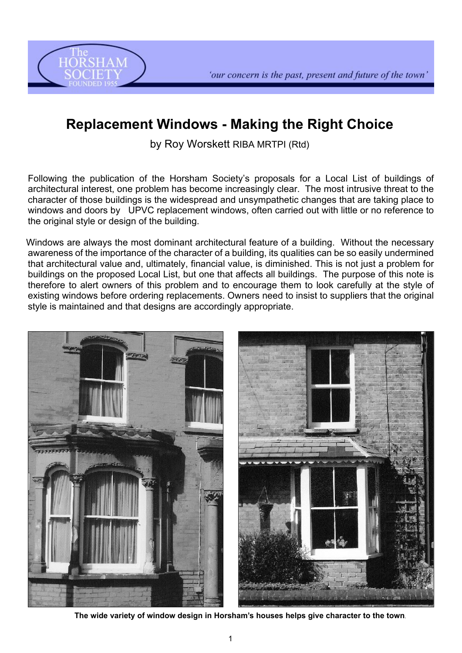



# **Replacement Windows - Making the Right Choice**

by Roy Worskett RIBA MRTPI (Rtd)

Following the publication of the Horsham Society's proposals for a Local List of buildings of architectural interest, one problem has become increasingly clear. The most intrusive threat to the character of those buildings is the widespread and unsympathetic changes that are taking place to windows and doors by UPVC replacement windows, often carried out with little or no reference to the original style or design of the building.

Windows are always the most dominant architectural feature of a building. Without the necessary awareness of the importance of the character of a building, its qualities can be so easily undermined that architectural value and, ultimately, financial value, is diminished. This is not just a problem for buildings on the proposed Local List, but one that affects all buildings. The purpose of this note is therefore to alert owners of this problem and to encourage them to look carefully at the style of existing windows before ordering replacements. Owners need to insist to suppliers that the original style is maintained and that designs are accordingly appropriate.



**The wide variety of window design in Horsham's houses helps give character to the town**.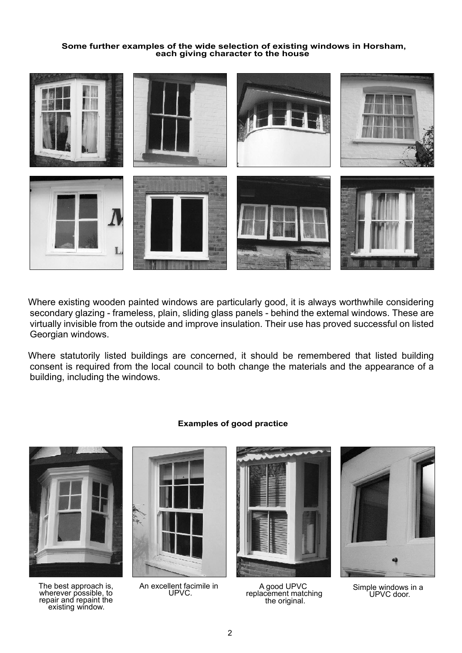### **Some further examples of the wide selection of existing windows in Horsham, each giving character to the house**



Where existing wooden painted windows are particularly good, it is always worthwhile considering secondary glazing - frameless, plain, sliding glass panels - behind the extemal windows. These are virtually invisible from the outside and improve insulation. Their use has proved successful on listed Georgian windows.

Where statutorily listed buildings are concerned, it should be remembered that listed building consent is required from the local council to both change the materials and the appearance of a building, including the windows.



The best approach is, wherever possible, to repair and repaint the existing window.



An excellent facimile in UPVC.



A good UPVC replacement matching the original.



Simple windows in a UPVC door.

## **Examples of good practice**